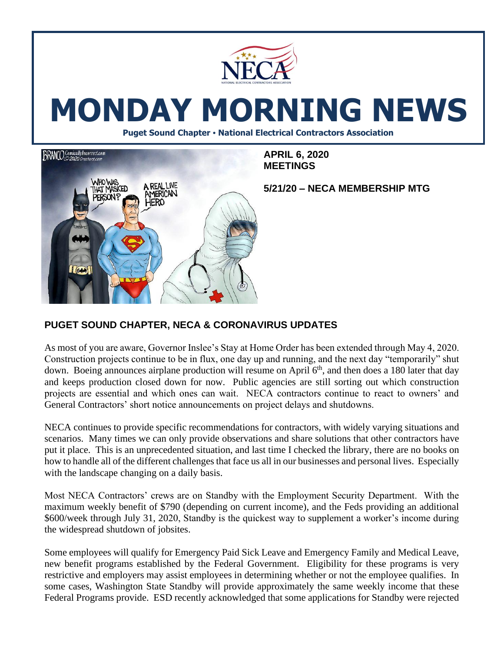

# **MONDAY MORNING NEWS**

**Puget Sound Chapter • National Electrical Contractors Association**



**APRIL 6, 2020 MEETINGS**

**5/21/20 – NECA MEMBERSHIP MTG**

# **PUGET SOUND CHAPTER, NECA & CORONAVIRUS UPDATES**

As most of you are aware, Governor Inslee's Stay at Home Order has been extended through May 4, 2020. Construction projects continue to be in flux, one day up and running, and the next day "temporarily" shut down. Boeing announces airplane production will resume on April  $6<sup>th</sup>$ , and then does a 180 later that day and keeps production closed down for now. Public agencies are still sorting out which construction projects are essential and which ones can wait. NECA contractors continue to react to owners' and General Contractors' short notice announcements on project delays and shutdowns.

NECA continues to provide specific recommendations for contractors, with widely varying situations and scenarios. Many times we can only provide observations and share solutions that other contractors have put it place. This is an unprecedented situation, and last time I checked the library, there are no books on how to handle all of the different challenges that face us all in our businesses and personal lives. Especially with the landscape changing on a daily basis.

Most NECA Contractors' crews are on Standby with the Employment Security Department. With the maximum weekly benefit of \$790 (depending on current income), and the Feds providing an additional \$600/week through July 31, 2020, Standby is the quickest way to supplement a worker's income during the widespread shutdown of jobsites.

Some employees will qualify for Emergency Paid Sick Leave and Emergency Family and Medical Leave, new benefit programs established by the Federal Government. Eligibility for these programs is very restrictive and employers may assist employees in determining whether or not the employee qualifies. In some cases, Washington State Standby will provide approximately the same weekly income that these Federal Programs provide. ESD recently acknowledged that some applications for Standby were rejected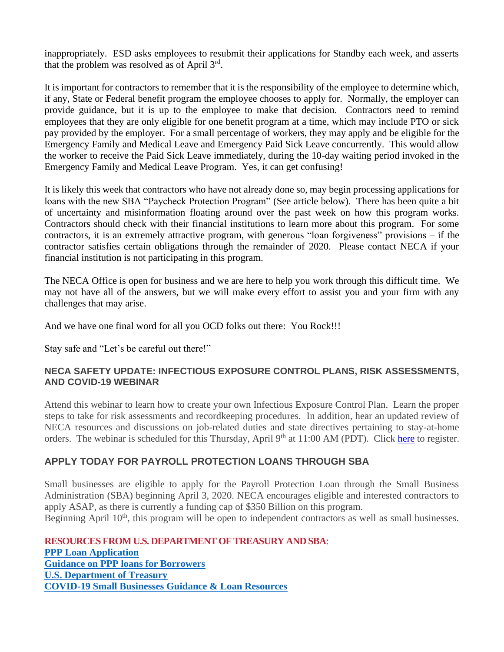inappropriately. ESD asks employees to resubmit their applications for Standby each week, and asserts that the problem was resolved as of April 3rd.

It is important for contractors to remember that it is the responsibility of the employee to determine which, if any, State or Federal benefit program the employee chooses to apply for. Normally, the employer can provide guidance, but it is up to the employee to make that decision. Contractors need to remind employees that they are only eligible for one benefit program at a time, which may include PTO or sick pay provided by the employer. For a small percentage of workers, they may apply and be eligible for the Emergency Family and Medical Leave and Emergency Paid Sick Leave concurrently. This would allow the worker to receive the Paid Sick Leave immediately, during the 10-day waiting period invoked in the Emergency Family and Medical Leave Program. Yes, it can get confusing!

It is likely this week that contractors who have not already done so, may begin processing applications for loans with the new SBA "Paycheck Protection Program" (See article below). There has been quite a bit of uncertainty and misinformation floating around over the past week on how this program works. Contractors should check with their financial institutions to learn more about this program. For some contractors, it is an extremely attractive program, with generous "loan forgiveness" provisions – if the contractor satisfies certain obligations through the remainder of 2020. Please contact NECA if your financial institution is not participating in this program.

The NECA Office is open for business and we are here to help you work through this difficult time. We may not have all of the answers, but we will make every effort to assist you and your firm with any challenges that may arise.

And we have one final word for all you OCD folks out there: You Rock!!!

Stay safe and "Let's be careful out there!"

#### **NECA SAFETY UPDATE: INFECTIOUS EXPOSURE CONTROL PLANS, RISK ASSESSMENTS, AND COVID-19 WEBINAR**

Attend this webinar to learn how to create your own Infectious Exposure Control Plan. Learn the proper steps to take for risk assessments and recordkeeping procedures. In addition, hear an updated review of NECA resources and discussions on job-related duties and state directives pertaining to stay-at-home orders. The webinar is scheduled for this Thursday, April 9<sup>th</sup> at 11:00 AM (PDT). Click [here](https://apps.necanet.org/login.cfm?ReturnURL=http://www.necanet.org/utility/log-in&externalReturnUrl=https://courses.necanet.org/login?redirect=https%3A%2F%2Fcourses.necanet.org%2Fcourse%2Fsession%2Fdetails%2F594) to register.

### **APPLY TODAY FOR PAYROLL PROTECTION LOANS THROUGH SBA**

Small businesses are eligible to apply for the Payroll Protection Loan through the Small Business Administration (SBA) beginning April 3, 2020. NECA encourages eligible and interested contractors to apply ASAP, as there is currently a funding cap of \$350 Billion on this program.

Beginning April  $10<sup>th</sup>$ , this program will be open to independent contractors as well as small businesses.

**RESOURCES FROM U.S. DEPARTMENT OF TREASURY AND SBA**: **[PPP Loan Application](https://necanet.us8.list-manage.com/track/click?u=2ec035d4293bf7013200366c1&id=0b3e810c6f&e=3adfba5fe2) [Guidance on PPP loans for Borrowers](https://necanet.us8.list-manage.com/track/click?u=2ec035d4293bf7013200366c1&id=438acf05dd&e=3adfba5fe2) [U.S. Department of Treasury](https://necanet.us8.list-manage.com/track/click?u=2ec035d4293bf7013200366c1&id=cfa41d6729&e=3adfba5fe2) [COVID-19 Small Businesses Guidance & Loan Resources](https://necanet.us8.list-manage.com/track/click?u=2ec035d4293bf7013200366c1&id=34703a01a4&e=3adfba5fe2)**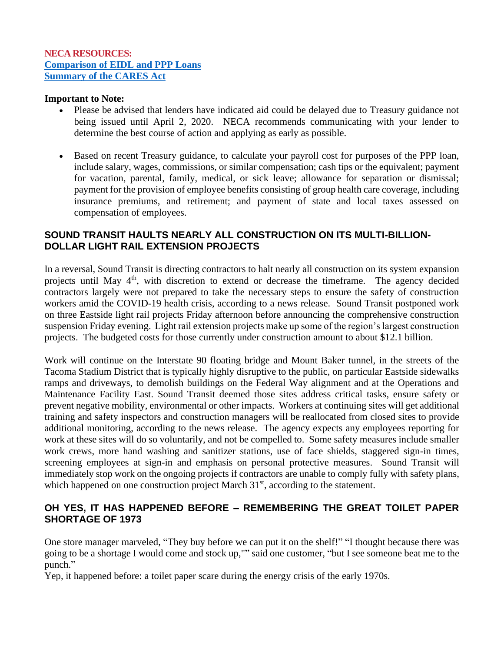#### **NECA RESOURCES: [Comparison of EIDL and PPP Loans](https://necanet.us8.list-manage.com/track/click?u=2ec035d4293bf7013200366c1&id=2044993937&e=3adfba5fe2) [Summary of the CARES Act](https://necanet.us8.list-manage.com/track/click?u=2ec035d4293bf7013200366c1&id=e13ba43342&e=3adfba5fe2)**

#### **Important to Note:**

- Please be advised that lenders have indicated aid could be delayed due to Treasury guidance not being issued until April 2, 2020. NECA recommends communicating with your lender to determine the best course of action and applying as early as possible.
- Based on recent Treasury guidance, to calculate your payroll cost for purposes of the PPP loan, include salary, wages, commissions, or similar compensation; cash tips or the equivalent; payment for vacation, parental, family, medical, or sick leave; allowance for separation or dismissal; payment for the provision of employee benefits consisting of group health care coverage, including insurance premiums, and retirement; and payment of state and local taxes assessed on compensation of employees.

## **SOUND TRANSIT HAULTS NEARLY ALL CONSTRUCTION ON ITS MULTI-BILLION-DOLLAR LIGHT RAIL EXTENSION PROJECTS**

In a reversal, Sound Transit is directing contractors to halt nearly all construction on its system expansion projects until May 4<sup>th</sup>, with discretion to extend or decrease the timeframe. The agency decided contractors largely were not prepared to take the necessary steps to ensure the safety of construction workers amid the COVID-19 health crisis, according to a news release. Sound Transit postponed work on three Eastside light rail projects Friday afternoon before announcing the comprehensive construction suspension Friday evening. Light rail extension projects make up some of the region's largest construction projects. The budgeted costs for those currently under construction amount to about \$12.1 billion.

Work will continue on the Interstate 90 floating bridge and Mount Baker tunnel, in the streets of the Tacoma Stadium District that is typically highly disruptive to the public, on particular Eastside sidewalks ramps and driveways, to demolish buildings on the Federal Way alignment and at the Operations and Maintenance Facility East. Sound Transit deemed those sites address critical tasks, ensure safety or prevent negative mobility, environmental or other impacts. Workers at continuing sites will get additional training and safety inspectors and construction managers will be reallocated from closed sites to provide additional monitoring, according to the news release. The agency expects any employees reporting for work at these sites will do so voluntarily, and not be compelled to. Some safety measures include smaller work crews, more hand washing and sanitizer stations, use of face shields, staggered sign-in times, screening employees at sign-in and emphasis on personal protective measures. Sound Transit will immediately stop work on the ongoing projects if contractors are unable to comply fully with safety plans, which happened on one construction project March  $31<sup>st</sup>$ , according to the statement.

# **OH YES, IT HAS HAPPENED BEFORE – REMEMBERING THE GREAT TOILET PAPER SHORTAGE OF 1973**

One store manager marveled, "They buy before we can put it on the shelf!" "I thought because there was going to be a shortage I would come and stock up,"" said one customer, "but I see someone beat me to the punch."

Yep, it happened before: a toilet paper scare during the energy crisis of the early 1970s.